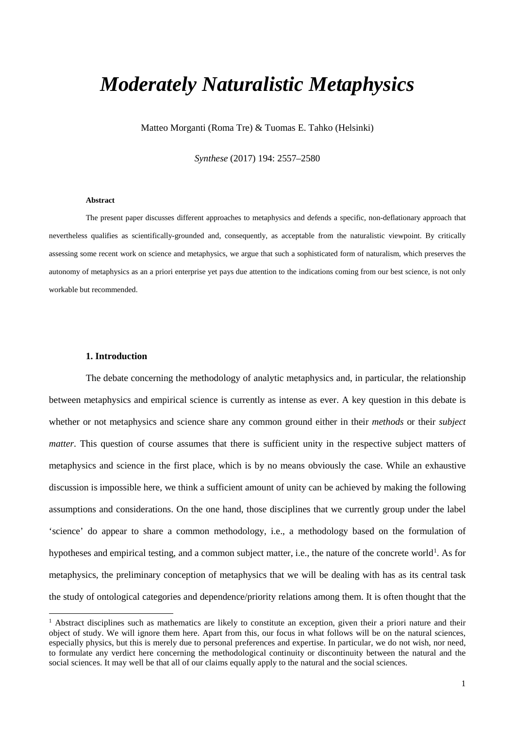# *Moderately Naturalistic Metaphysics*

Matteo Morganti (Roma Tre) & Tuomas E. Tahko (Helsinki)

*Synthese* (2017) 194: 2557–2580

#### **Abstract**

The present paper discusses different approaches to metaphysics and defends a specific, non-deflationary approach that nevertheless qualifies as scientifically-grounded and, consequently, as acceptable from the naturalistic viewpoint. By critically assessing some recent work on science and metaphysics, we argue that such a sophisticated form of naturalism, which preserves the autonomy of metaphysics as an a priori enterprise yet pays due attention to the indications coming from our best science, is not only workable but recommended.

# **1. Introduction**

The debate concerning the methodology of analytic metaphysics and, in particular, the relationship between metaphysics and empirical science is currently as intense as ever. A key question in this debate is whether or not metaphysics and science share any common ground either in their *methods* or their *subject matter*. This question of course assumes that there is sufficient unity in the respective subject matters of metaphysics and science in the first place, which is by no means obviously the case. While an exhaustive discussion is impossible here, we think a sufficient amount of unity can be achieved by making the following assumptions and considerations. On the one hand, those disciplines that we currently group under the label 'science' do appear to share a common methodology, i.e., a methodology based on the formulation of hypotheses and empirical testing, and a common subject matter, i.e., the nature of the concrete world<sup>[1](#page-0-0)</sup>. As for metaphysics, the preliminary conception of metaphysics that we will be dealing with has as its central task the study of ontological categories and dependence/priority relations among them. It is often thought that the

<span id="page-0-0"></span> $<sup>1</sup>$  Abstract disciplines such as mathematics are likely to constitute an exception, given their a priori nature and their</sup> object of study. We will ignore them here. Apart from this, our focus in what follows will be on the natural sciences, especially physics, but this is merely due to personal preferences and expertise. In particular, we do not wish, nor need, to formulate any verdict here concerning the methodological continuity or discontinuity between the natural and the social sciences. It may well be that all of our claims equally apply to the natural and the social sciences.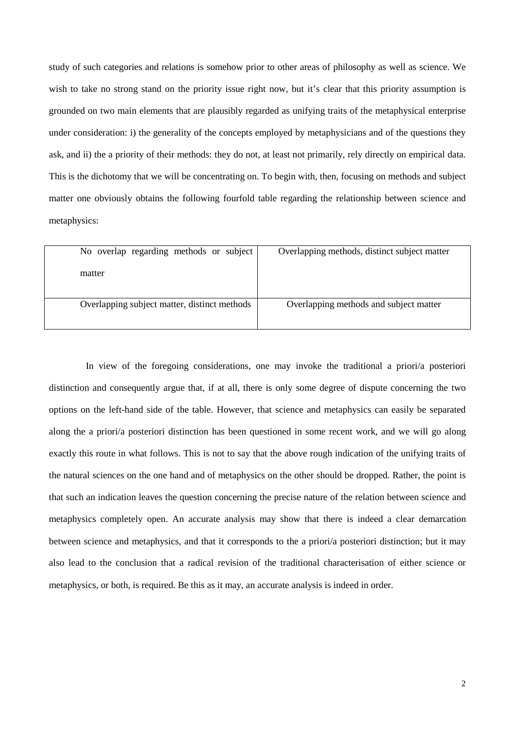study of such categories and relations is somehow prior to other areas of philosophy as well as science. We wish to take no strong stand on the priority issue right now, but it's clear that this priority assumption is grounded on two main elements that are plausibly regarded as unifying traits of the metaphysical enterprise under consideration: i) the generality of the concepts employed by metaphysicians and of the questions they ask, and ii) the a priority of their methods: they do not, at least not primarily, rely directly on empirical data. This is the dichotomy that we will be concentrating on. To begin with, then, focusing on methods and subject matter one obviously obtains the following fourfold table regarding the relationship between science and metaphysics:

| No overlap regarding methods or subject<br>matter | Overlapping methods, distinct subject matter |
|---------------------------------------------------|----------------------------------------------|
| Overlapping subject matter, distinct methods      | Overlapping methods and subject matter       |

In view of the foregoing considerations, one may invoke the traditional a priori/a posteriori distinction and consequently argue that, if at all, there is only some degree of dispute concerning the two options on the left-hand side of the table. However, that science and metaphysics can easily be separated along the a priori/a posteriori distinction has been questioned in some recent work, and we will go along exactly this route in what follows. This is not to say that the above rough indication of the unifying traits of the natural sciences on the one hand and of metaphysics on the other should be dropped. Rather, the point is that such an indication leaves the question concerning the precise nature of the relation between science and metaphysics completely open. An accurate analysis may show that there is indeed a clear demarcation between science and metaphysics, and that it corresponds to the a priori/a posteriori distinction; but it may also lead to the conclusion that a radical revision of the traditional characterisation of either science or metaphysics, or both, is required. Be this as it may, an accurate analysis is indeed in order.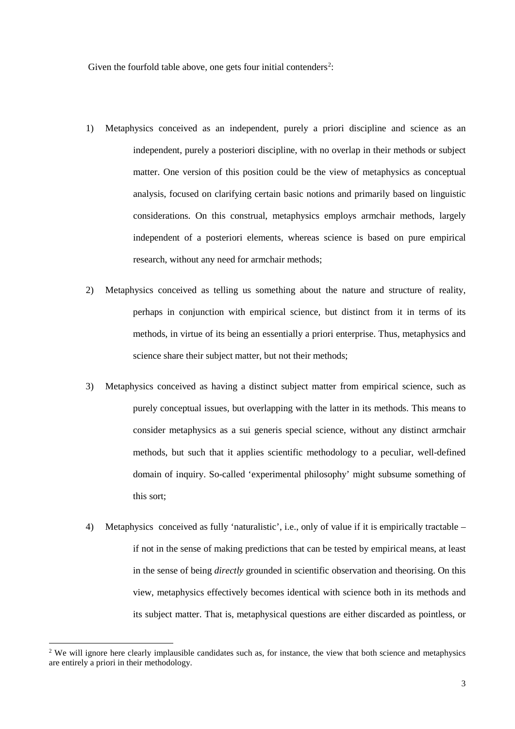Given the fourfold table above, one gets four initial contenders<sup>[2](#page-2-0)</sup>:

- 1) Metaphysics conceived as an independent, purely a priori discipline and science as an independent, purely a posteriori discipline, with no overlap in their methods or subject matter. One version of this position could be the view of metaphysics as conceptual analysis, focused on clarifying certain basic notions and primarily based on linguistic considerations. On this construal, metaphysics employs armchair methods, largely independent of a posteriori elements, whereas science is based on pure empirical research, without any need for armchair methods;
- 2) Metaphysics conceived as telling us something about the nature and structure of reality, perhaps in conjunction with empirical science, but distinct from it in terms of its methods, in virtue of its being an essentially a priori enterprise. Thus, metaphysics and science share their subject matter, but not their methods;
- 3) Metaphysics conceived as having a distinct subject matter from empirical science, such as purely conceptual issues, but overlapping with the latter in its methods. This means to consider metaphysics as a sui generis special science, without any distinct armchair methods, but such that it applies scientific methodology to a peculiar, well-defined domain of inquiry. So-called 'experimental philosophy' might subsume something of this sort;
- 4) Metaphysics conceived as fully 'naturalistic', i.e., only of value if it is empirically tractable if not in the sense of making predictions that can be tested by empirical means, at least in the sense of being *directly* grounded in scientific observation and theorising. On this view, metaphysics effectively becomes identical with science both in its methods and its subject matter. That is, metaphysical questions are either discarded as pointless, or

<span id="page-2-0"></span><sup>&</sup>lt;sup>2</sup> We will ignore here clearly implausible candidates such as, for instance, the view that both science and metaphysics are entirely a priori in their methodology.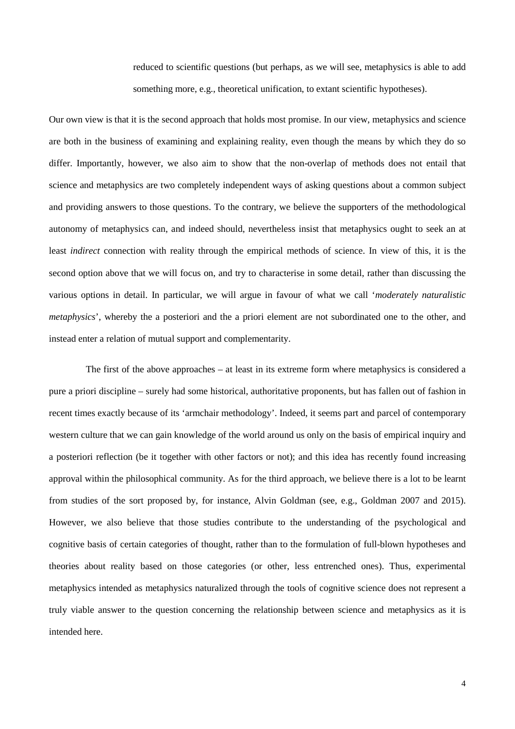reduced to scientific questions (but perhaps, as we will see, metaphysics is able to add something more, e.g., theoretical unification, to extant scientific hypotheses).

Our own view is that it is the second approach that holds most promise. In our view, metaphysics and science are both in the business of examining and explaining reality, even though the means by which they do so differ. Importantly, however, we also aim to show that the non-overlap of methods does not entail that science and metaphysics are two completely independent ways of asking questions about a common subject and providing answers to those questions. To the contrary, we believe the supporters of the methodological autonomy of metaphysics can, and indeed should, nevertheless insist that metaphysics ought to seek an at least *indirect* connection with reality through the empirical methods of science. In view of this, it is the second option above that we will focus on, and try to characterise in some detail, rather than discussing the various options in detail. In particular, we will argue in favour of what we call '*moderately naturalistic metaphysics*', whereby the a posteriori and the a priori element are not subordinated one to the other, and instead enter a relation of mutual support and complementarity.

The first of the above approaches – at least in its extreme form where metaphysics is considered a pure a priori discipline – surely had some historical, authoritative proponents, but has fallen out of fashion in recent times exactly because of its 'armchair methodology'. Indeed, it seems part and parcel of contemporary western culture that we can gain knowledge of the world around us only on the basis of empirical inquiry and a posteriori reflection (be it together with other factors or not); and this idea has recently found increasing approval within the philosophical community. As for the third approach, we believe there is a lot to be learnt from studies of the sort proposed by, for instance, Alvin Goldman (see, e.g., Goldman 2007 and 2015). However, we also believe that those studies contribute to the understanding of the psychological and cognitive basis of certain categories of thought, rather than to the formulation of full-blown hypotheses and theories about reality based on those categories (or other, less entrenched ones). Thus, experimental metaphysics intended as metaphysics naturalized through the tools of cognitive science does not represent a truly viable answer to the question concerning the relationship between science and metaphysics as it is intended here.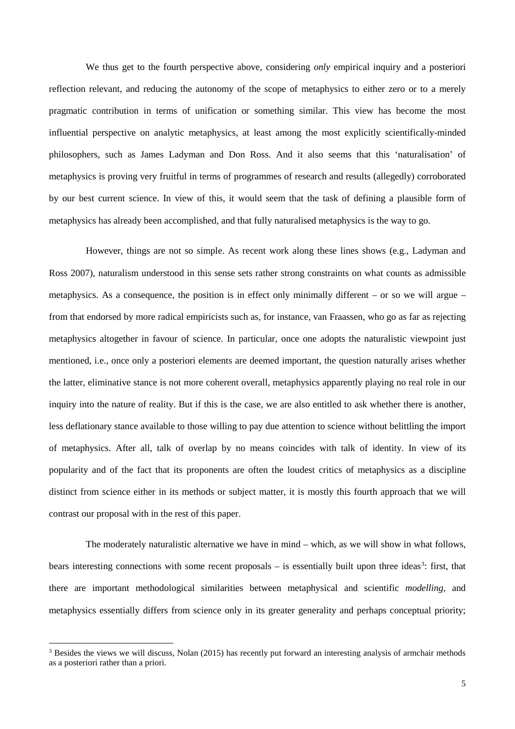We thus get to the fourth perspective above, considering *only* empirical inquiry and a posteriori reflection relevant, and reducing the autonomy of the scope of metaphysics to either zero or to a merely pragmatic contribution in terms of unification or something similar. This view has become the most influential perspective on analytic metaphysics, at least among the most explicitly scientifically-minded philosophers, such as James Ladyman and Don Ross. And it also seems that this 'naturalisation' of metaphysics is proving very fruitful in terms of programmes of research and results (allegedly) corroborated by our best current science. In view of this, it would seem that the task of defining a plausible form of metaphysics has already been accomplished, and that fully naturalised metaphysics is the way to go.

However, things are not so simple. As recent work along these lines shows (e.g., Ladyman and Ross 2007), naturalism understood in this sense sets rather strong constraints on what counts as admissible metaphysics. As a consequence, the position is in effect only minimally different – or so we will argue – from that endorsed by more radical empiricists such as, for instance, van Fraassen, who go as far as rejecting metaphysics altogether in favour of science. In particular, once one adopts the naturalistic viewpoint just mentioned, i.e., once only a posteriori elements are deemed important, the question naturally arises whether the latter, eliminative stance is not more coherent overall, metaphysics apparently playing no real role in our inquiry into the nature of reality. But if this is the case, we are also entitled to ask whether there is another, less deflationary stance available to those willing to pay due attention to science without belittling the import of metaphysics. After all, talk of overlap by no means coincides with talk of identity. In view of its popularity and of the fact that its proponents are often the loudest critics of metaphysics as a discipline distinct from science either in its methods or subject matter, it is mostly this fourth approach that we will contrast our proposal with in the rest of this paper.

The moderately naturalistic alternative we have in mind – which, as we will show in what follows, bears interesting connections with some recent proposals – is essentially built upon three ideas<sup>[3](#page-4-0)</sup>: first, that there are important methodological similarities between metaphysical and scientific *modelling*, and metaphysics essentially differs from science only in its greater generality and perhaps conceptual priority;

<span id="page-4-0"></span><sup>&</sup>lt;sup>3</sup> Besides the views we will discuss, Nolan (2015) has recently put forward an interesting analysis of armchair methods as a posteriori rather than a priori.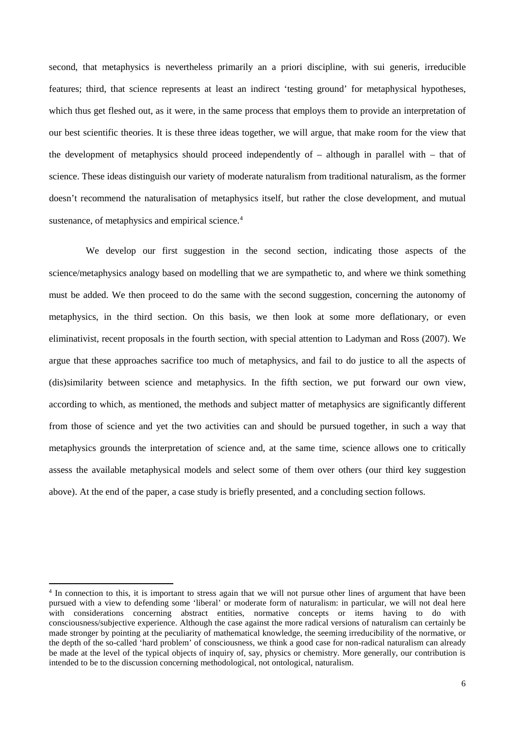second, that metaphysics is nevertheless primarily an a priori discipline, with sui generis, irreducible features; third, that science represents at least an indirect 'testing ground' for metaphysical hypotheses, which thus get fleshed out, as it were, in the same process that employs them to provide an interpretation of our best scientific theories. It is these three ideas together, we will argue, that make room for the view that the development of metaphysics should proceed independently of – although in parallel with – that of science. These ideas distinguish our variety of moderate naturalism from traditional naturalism, as the former doesn't recommend the naturalisation of metaphysics itself, but rather the close development, and mutual sustenance, of metaphysics and empirical science.<sup>[4](#page-5-0)</sup>

We develop our first suggestion in the second section, indicating those aspects of the science/metaphysics analogy based on modelling that we are sympathetic to, and where we think something must be added. We then proceed to do the same with the second suggestion, concerning the autonomy of metaphysics, in the third section. On this basis, we then look at some more deflationary, or even eliminativist, recent proposals in the fourth section, with special attention to Ladyman and Ross (2007). We argue that these approaches sacrifice too much of metaphysics, and fail to do justice to all the aspects of (dis)similarity between science and metaphysics. In the fifth section, we put forward our own view, according to which, as mentioned, the methods and subject matter of metaphysics are significantly different from those of science and yet the two activities can and should be pursued together, in such a way that metaphysics grounds the interpretation of science and, at the same time, science allows one to critically assess the available metaphysical models and select some of them over others (our third key suggestion above). At the end of the paper, a case study is briefly presented, and a concluding section follows.

<span id="page-5-0"></span><sup>&</sup>lt;sup>4</sup> In connection to this, it is important to stress again that we will not pursue other lines of argument that have been pursued with a view to defending some 'liberal' or moderate form of naturalism: in particular, we will not deal here with considerations concerning abstract entities, normative concepts or items having to do with consciousness/subjective experience. Although the case against the more radical versions of naturalism can certainly be made stronger by pointing at the peculiarity of mathematical knowledge, the seeming irreducibility of the normative, or the depth of the so-called 'hard problem' of consciousness, we think a good case for non-radical naturalism can already be made at the level of the typical objects of inquiry of, say, physics or chemistry. More generally, our contribution is intended to be to the discussion concerning methodological, not ontological, naturalism.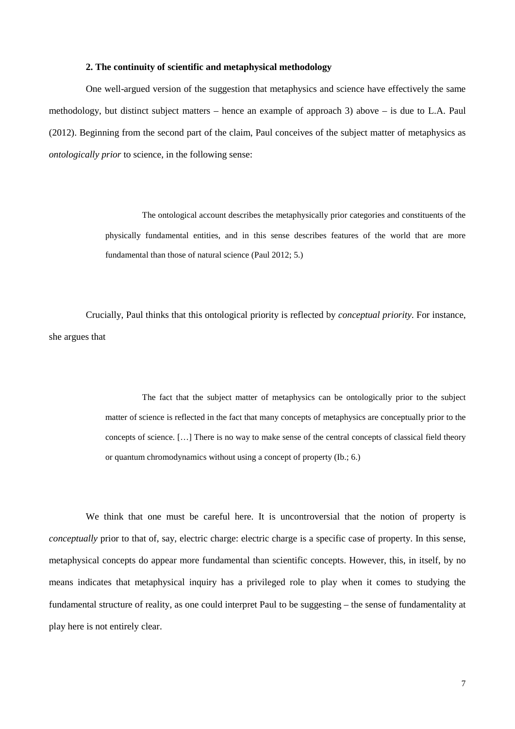# **2. The continuity of scientific and metaphysical methodology**

One well-argued version of the suggestion that metaphysics and science have effectively the same methodology, but distinct subject matters – hence an example of approach 3) above – is due to L.A. Paul (2012). Beginning from the second part of the claim, Paul conceives of the subject matter of metaphysics as *ontologically prior* to science, in the following sense:

> The ontological account describes the metaphysically prior categories and constituents of the physically fundamental entities, and in this sense describes features of the world that are more fundamental than those of natural science (Paul 2012; 5.)

Crucially, Paul thinks that this ontological priority is reflected by *conceptual priority*. For instance, she argues that

> The fact that the subject matter of metaphysics can be ontologically prior to the subject matter of science is reflected in the fact that many concepts of metaphysics are conceptually prior to the concepts of science. […] There is no way to make sense of the central concepts of classical field theory or quantum chromodynamics without using a concept of property (Ib.; 6.)

We think that one must be careful here. It is uncontroversial that the notion of property is *conceptually* prior to that of, say, electric charge: electric charge is a specific case of property. In this sense, metaphysical concepts do appear more fundamental than scientific concepts. However, this, in itself, by no means indicates that metaphysical inquiry has a privileged role to play when it comes to studying the fundamental structure of reality, as one could interpret Paul to be suggesting – the sense of fundamentality at play here is not entirely clear.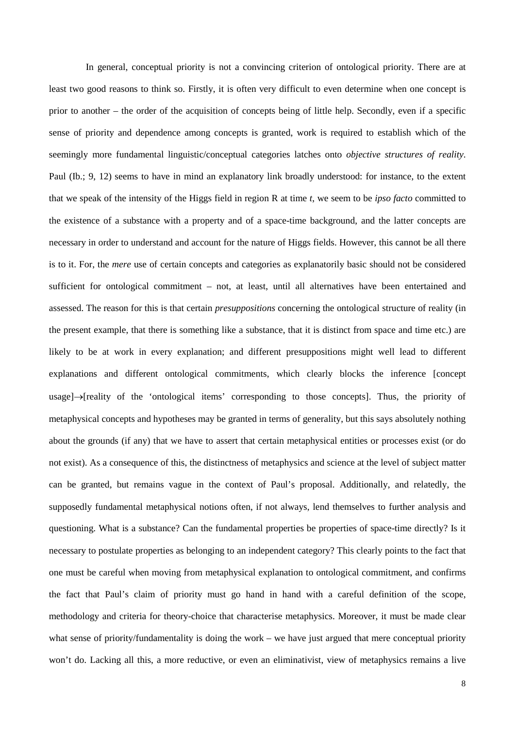In general, conceptual priority is not a convincing criterion of ontological priority. There are at least two good reasons to think so. Firstly, it is often very difficult to even determine when one concept is prior to another – the order of the acquisition of concepts being of little help. Secondly, even if a specific sense of priority and dependence among concepts is granted, work is required to establish which of the seemingly more fundamental linguistic/conceptual categories latches onto *objective structures of reality*. Paul (Ib.; 9, 12) seems to have in mind an explanatory link broadly understood: for instance, to the extent that we speak of the intensity of the Higgs field in region R at time *t*, we seem to be *ipso facto* committed to the existence of a substance with a property and of a space-time background, and the latter concepts are necessary in order to understand and account for the nature of Higgs fields. However, this cannot be all there is to it. For, the *mere* use of certain concepts and categories as explanatorily basic should not be considered sufficient for ontological commitment – not, at least, until all alternatives have been entertained and assessed. The reason for this is that certain *presuppositions* concerning the ontological structure of reality (in the present example, that there is something like a substance, that it is distinct from space and time etc.) are likely to be at work in every explanation; and different presuppositions might well lead to different explanations and different ontological commitments, which clearly blocks the inference [concept usage]→[reality of the 'ontological items' corresponding to those concepts]. Thus, the priority of metaphysical concepts and hypotheses may be granted in terms of generality, but this says absolutely nothing about the grounds (if any) that we have to assert that certain metaphysical entities or processes exist (or do not exist). As a consequence of this, the distinctness of metaphysics and science at the level of subject matter can be granted, but remains vague in the context of Paul's proposal. Additionally, and relatedly, the supposedly fundamental metaphysical notions often, if not always, lend themselves to further analysis and questioning. What is a substance? Can the fundamental properties be properties of space-time directly? Is it necessary to postulate properties as belonging to an independent category? This clearly points to the fact that one must be careful when moving from metaphysical explanation to ontological commitment, and confirms the fact that Paul's claim of priority must go hand in hand with a careful definition of the scope, methodology and criteria for theory-choice that characterise metaphysics. Moreover, it must be made clear what sense of priority/fundamentality is doing the work – we have just argued that mere conceptual priority won't do. Lacking all this, a more reductive, or even an eliminativist, view of metaphysics remains a live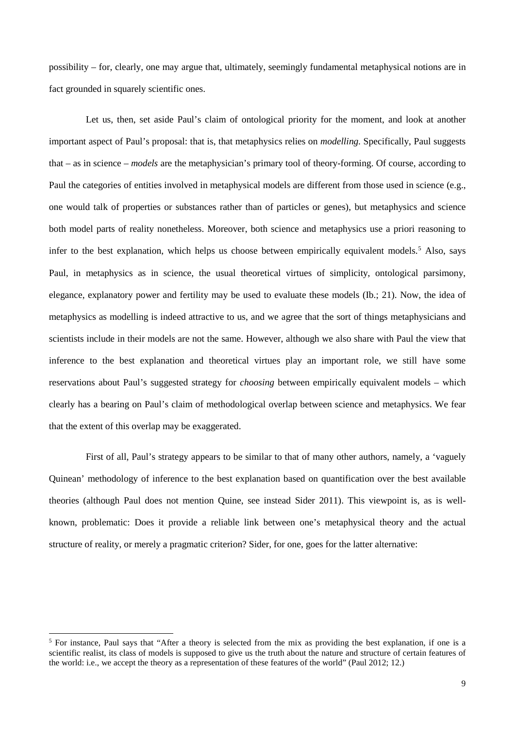possibility – for, clearly, one may argue that, ultimately, seemingly fundamental metaphysical notions are in fact grounded in squarely scientific ones.

Let us, then, set aside Paul's claim of ontological priority for the moment, and look at another important aspect of Paul's proposal: that is, that metaphysics relies on *modelling*. Specifically, Paul suggests that – as in science – *models* are the metaphysician's primary tool of theory-forming. Of course, according to Paul the categories of entities involved in metaphysical models are different from those used in science (e.g., one would talk of properties or substances rather than of particles or genes), but metaphysics and science both model parts of reality nonetheless. Moreover, both science and metaphysics use a priori reasoning to infer to the best explanation, which helps us choose between empirically equivalent models.<sup>[5](#page-8-0)</sup> Also, says Paul, in metaphysics as in science, the usual theoretical virtues of simplicity, ontological parsimony, elegance, explanatory power and fertility may be used to evaluate these models (Ib.; 21). Now, the idea of metaphysics as modelling is indeed attractive to us, and we agree that the sort of things metaphysicians and scientists include in their models are not the same. However, although we also share with Paul the view that inference to the best explanation and theoretical virtues play an important role, we still have some reservations about Paul's suggested strategy for *choosing* between empirically equivalent models – which clearly has a bearing on Paul's claim of methodological overlap between science and metaphysics. We fear that the extent of this overlap may be exaggerated.

First of all, Paul's strategy appears to be similar to that of many other authors, namely, a 'vaguely Quinean' methodology of inference to the best explanation based on quantification over the best available theories (although Paul does not mention Quine, see instead Sider 2011). This viewpoint is, as is wellknown, problematic: Does it provide a reliable link between one's metaphysical theory and the actual structure of reality, or merely a pragmatic criterion? Sider, for one, goes for the latter alternative:

<span id="page-8-0"></span><sup>&</sup>lt;sup>5</sup> For instance, Paul says that "After a theory is selected from the mix as providing the best explanation, if one is a scientific realist, its class of models is supposed to give us the truth about the nature and structure of certain features of the world: i.e., we accept the theory as a representation of these features of the world" (Paul 2012; 12.)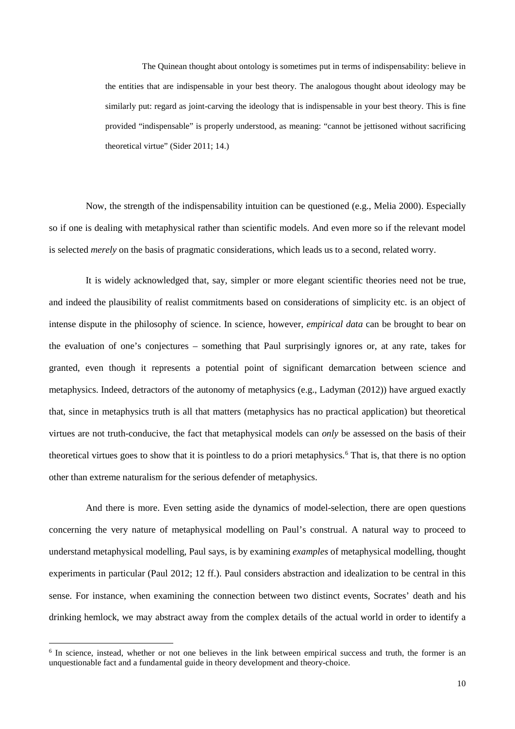The Quinean thought about ontology is sometimes put in terms of indispensability: believe in the entities that are indispensable in your best theory. The analogous thought about ideology may be similarly put: regard as joint-carving the ideology that is indispensable in your best theory. This is fine provided "indispensable" is properly understood, as meaning: "cannot be jettisoned without sacrificing theoretical virtue" (Sider 2011; 14.)

Now, the strength of the indispensability intuition can be questioned (e.g., Melia 2000). Especially so if one is dealing with metaphysical rather than scientific models. And even more so if the relevant model is selected *merely* on the basis of pragmatic considerations, which leads us to a second, related worry.

It is widely acknowledged that, say, simpler or more elegant scientific theories need not be true, and indeed the plausibility of realist commitments based on considerations of simplicity etc. is an object of intense dispute in the philosophy of science. In science, however, *empirical data* can be brought to bear on the evaluation of one's conjectures – something that Paul surprisingly ignores or, at any rate, takes for granted, even though it represents a potential point of significant demarcation between science and metaphysics. Indeed, detractors of the autonomy of metaphysics (e.g., Ladyman (2012)) have argued exactly that, since in metaphysics truth is all that matters (metaphysics has no practical application) but theoretical virtues are not truth-conducive, the fact that metaphysical models can *only* be assessed on the basis of their theoretical virtues goes to show that it is pointless to do a priori metaphysics.<sup>[6](#page-9-0)</sup> That is, that there is no option other than extreme naturalism for the serious defender of metaphysics.

And there is more. Even setting aside the dynamics of model-selection, there are open questions concerning the very nature of metaphysical modelling on Paul's construal. A natural way to proceed to understand metaphysical modelling, Paul says, is by examining *examples* of metaphysical modelling, thought experiments in particular (Paul 2012; 12 ff.). Paul considers abstraction and idealization to be central in this sense. For instance, when examining the connection between two distinct events, Socrates' death and his drinking hemlock, we may abstract away from the complex details of the actual world in order to identify a

<span id="page-9-0"></span><sup>&</sup>lt;sup>6</sup> In science, instead, whether or not one believes in the link between empirical success and truth, the former is an unquestionable fact and a fundamental guide in theory development and theory-choice.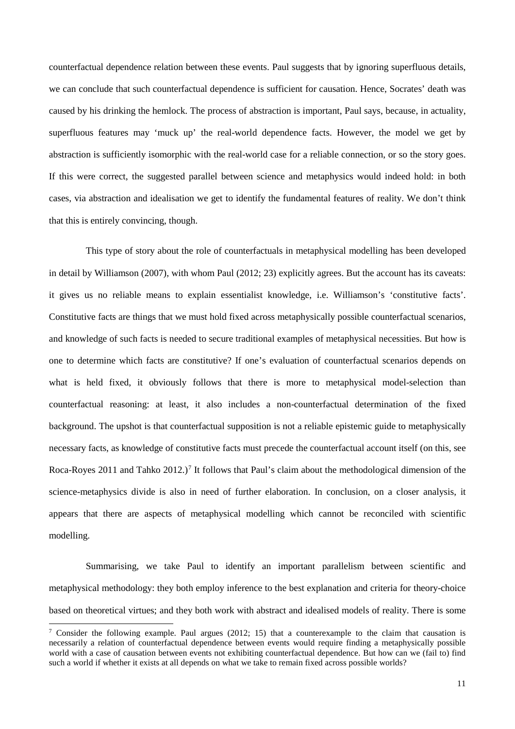counterfactual dependence relation between these events. Paul suggests that by ignoring superfluous details, we can conclude that such counterfactual dependence is sufficient for causation. Hence, Socrates' death was caused by his drinking the hemlock. The process of abstraction is important, Paul says, because, in actuality, superfluous features may 'muck up' the real-world dependence facts. However, the model we get by abstraction is sufficiently isomorphic with the real-world case for a reliable connection, or so the story goes. If this were correct, the suggested parallel between science and metaphysics would indeed hold: in both cases, via abstraction and idealisation we get to identify the fundamental features of reality. We don't think that this is entirely convincing, though.

This type of story about the role of counterfactuals in metaphysical modelling has been developed in detail by Williamson (2007), with whom Paul (2012; 23) explicitly agrees. But the account has its caveats: it gives us no reliable means to explain essentialist knowledge, i.e. Williamson's 'constitutive facts'. Constitutive facts are things that we must hold fixed across metaphysically possible counterfactual scenarios, and knowledge of such facts is needed to secure traditional examples of metaphysical necessities. But how is one to determine which facts are constitutive? If one's evaluation of counterfactual scenarios depends on what is held fixed, it obviously follows that there is more to metaphysical model-selection than counterfactual reasoning: at least, it also includes a non-counterfactual determination of the fixed background. The upshot is that counterfactual supposition is not a reliable epistemic guide to metaphysically necessary facts, as knowledge of constitutive facts must precede the counterfactual account itself (on this, see Roca-Royes 2011 and Tahko 2012.)<sup>[7](#page-10-0)</sup> It follows that Paul's claim about the methodological dimension of the science-metaphysics divide is also in need of further elaboration. In conclusion, on a closer analysis, it appears that there are aspects of metaphysical modelling which cannot be reconciled with scientific modelling.

Summarising, we take Paul to identify an important parallelism between scientific and metaphysical methodology: they both employ inference to the best explanation and criteria for theory-choice based on theoretical virtues; and they both work with abstract and idealised models of reality. There is some

<span id="page-10-0"></span> <sup>7</sup> Consider the following example. Paul argues (2012; 15) that a counterexample to the claim that causation is necessarily a relation of counterfactual dependence between events would require finding a metaphysically possible world with a case of causation between events not exhibiting counterfactual dependence. But how can we (fail to) find such a world if whether it exists at all depends on what we take to remain fixed across possible worlds?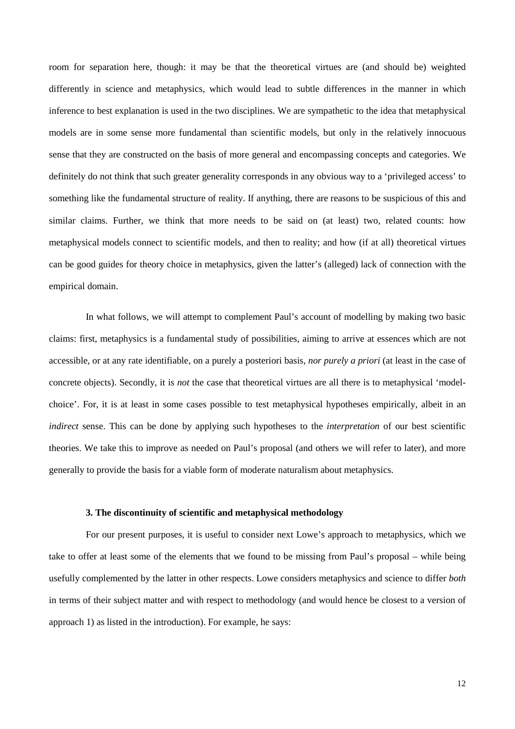room for separation here, though: it may be that the theoretical virtues are (and should be) weighted differently in science and metaphysics, which would lead to subtle differences in the manner in which inference to best explanation is used in the two disciplines. We are sympathetic to the idea that metaphysical models are in some sense more fundamental than scientific models, but only in the relatively innocuous sense that they are constructed on the basis of more general and encompassing concepts and categories. We definitely do not think that such greater generality corresponds in any obvious way to a 'privileged access' to something like the fundamental structure of reality. If anything, there are reasons to be suspicious of this and similar claims. Further, we think that more needs to be said on (at least) two, related counts: how metaphysical models connect to scientific models, and then to reality; and how (if at all) theoretical virtues can be good guides for theory choice in metaphysics, given the latter's (alleged) lack of connection with the empirical domain.

In what follows, we will attempt to complement Paul's account of modelling by making two basic claims: first, metaphysics is a fundamental study of possibilities, aiming to arrive at essences which are not accessible, or at any rate identifiable, on a purely a posteriori basis, *nor purely a priori* (at least in the case of concrete objects). Secondly, it is *not* the case that theoretical virtues are all there is to metaphysical 'modelchoice'. For, it is at least in some cases possible to test metaphysical hypotheses empirically, albeit in an *indirect* sense. This can be done by applying such hypotheses to the *interpretation* of our best scientific theories. We take this to improve as needed on Paul's proposal (and others we will refer to later), and more generally to provide the basis for a viable form of moderate naturalism about metaphysics.

# **3. The discontinuity of scientific and metaphysical methodology**

For our present purposes, it is useful to consider next Lowe's approach to metaphysics, which we take to offer at least some of the elements that we found to be missing from Paul's proposal – while being usefully complemented by the latter in other respects. Lowe considers metaphysics and science to differ *both* in terms of their subject matter and with respect to methodology (and would hence be closest to a version of approach 1) as listed in the introduction). For example, he says: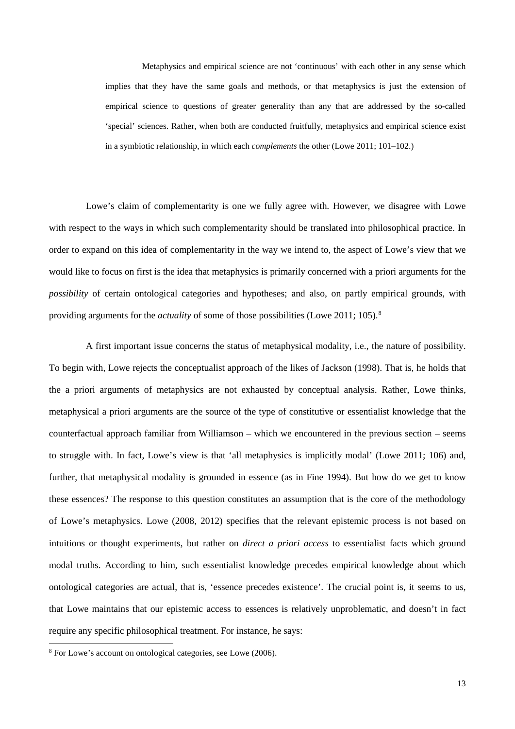Metaphysics and empirical science are not 'continuous' with each other in any sense which implies that they have the same goals and methods, or that metaphysics is just the extension of empirical science to questions of greater generality than any that are addressed by the so-called 'special' sciences. Rather, when both are conducted fruitfully, metaphysics and empirical science exist in a symbiotic relationship, in which each *complements* the other (Lowe 2011; 101–102.)

Lowe's claim of complementarity is one we fully agree with. However, we disagree with Lowe with respect to the ways in which such complementarity should be translated into philosophical practice. In order to expand on this idea of complementarity in the way we intend to, the aspect of Lowe's view that we would like to focus on first is the idea that metaphysics is primarily concerned with a priori arguments for the *possibility* of certain ontological categories and hypotheses; and also, on partly empirical grounds, with providing arguments for the *actuality* of some of those possibilities (Lowe 2011; 105).<sup>[8](#page-12-0)</sup>

A first important issue concerns the status of metaphysical modality, i.e., the nature of possibility. To begin with, Lowe rejects the conceptualist approach of the likes of Jackson (1998). That is, he holds that the a priori arguments of metaphysics are not exhausted by conceptual analysis. Rather, Lowe thinks, metaphysical a priori arguments are the source of the type of constitutive or essentialist knowledge that the counterfactual approach familiar from Williamson – which we encountered in the previous section – seems to struggle with. In fact, Lowe's view is that 'all metaphysics is implicitly modal' (Lowe 2011; 106) and, further, that metaphysical modality is grounded in essence (as in Fine 1994). But how do we get to know these essences? The response to this question constitutes an assumption that is the core of the methodology of Lowe's metaphysics. Lowe (2008, 2012) specifies that the relevant epistemic process is not based on intuitions or thought experiments, but rather on *direct a priori access* to essentialist facts which ground modal truths. According to him, such essentialist knowledge precedes empirical knowledge about which ontological categories are actual, that is, 'essence precedes existence'. The crucial point is, it seems to us, that Lowe maintains that our epistemic access to essences is relatively unproblematic, and doesn't in fact require any specific philosophical treatment. For instance, he says:

<span id="page-12-0"></span> <sup>8</sup> For Lowe's account on ontological categories, see Lowe (2006).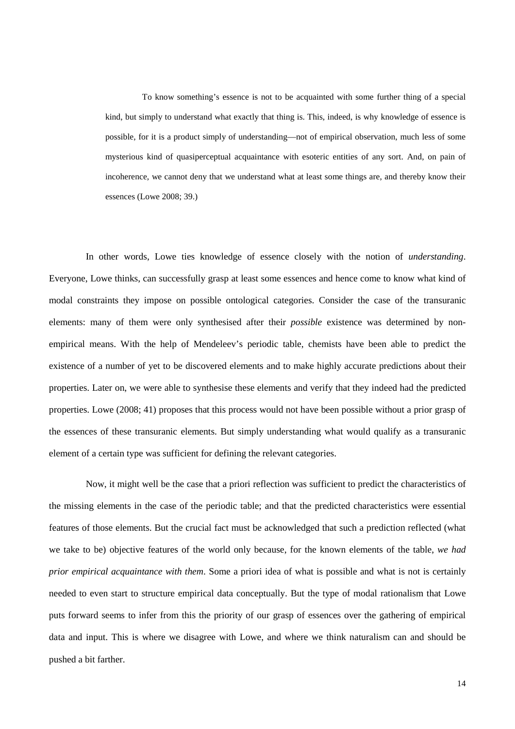To know something's essence is not to be acquainted with some further thing of a special kind, but simply to understand what exactly that thing is. This, indeed, is why knowledge of essence is possible, for it is a product simply of understanding—not of empirical observation, much less of some mysterious kind of quasiperceptual acquaintance with esoteric entities of any sort. And, on pain of incoherence, we cannot deny that we understand what at least some things are, and thereby know their essences (Lowe 2008; 39.)

In other words, Lowe ties knowledge of essence closely with the notion of *understanding*. Everyone, Lowe thinks, can successfully grasp at least some essences and hence come to know what kind of modal constraints they impose on possible ontological categories. Consider the case of the transuranic elements: many of them were only synthesised after their *possible* existence was determined by nonempirical means. With the help of Mendeleev's periodic table, chemists have been able to predict the existence of a number of yet to be discovered elements and to make highly accurate predictions about their properties. Later on, we were able to synthesise these elements and verify that they indeed had the predicted properties. Lowe (2008; 41) proposes that this process would not have been possible without a prior grasp of the essences of these transuranic elements. But simply understanding what would qualify as a transuranic element of a certain type was sufficient for defining the relevant categories.

Now, it might well be the case that a priori reflection was sufficient to predict the characteristics of the missing elements in the case of the periodic table; and that the predicted characteristics were essential features of those elements. But the crucial fact must be acknowledged that such a prediction reflected (what we take to be) objective features of the world only because, for the known elements of the table, *we had prior empirical acquaintance with them*. Some a priori idea of what is possible and what is not is certainly needed to even start to structure empirical data conceptually. But the type of modal rationalism that Lowe puts forward seems to infer from this the priority of our grasp of essences over the gathering of empirical data and input. This is where we disagree with Lowe, and where we think naturalism can and should be pushed a bit farther.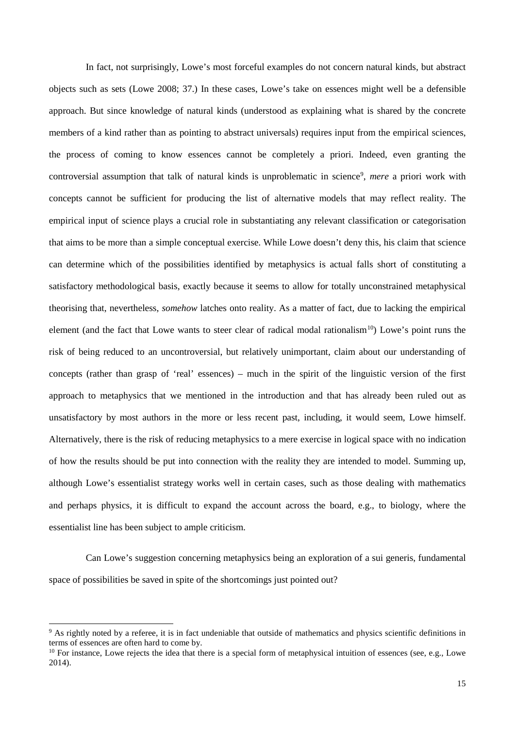In fact, not surprisingly, Lowe's most forceful examples do not concern natural kinds, but abstract objects such as sets (Lowe 2008; 37.) In these cases, Lowe's take on essences might well be a defensible approach. But since knowledge of natural kinds (understood as explaining what is shared by the concrete members of a kind rather than as pointing to abstract universals) requires input from the empirical sciences, the process of coming to know essences cannot be completely a priori. Indeed, even granting the controversial assumption that talk of natural kinds is unproblematic in science<sup>[9](#page-14-0)</sup>, *mere* a priori work with concepts cannot be sufficient for producing the list of alternative models that may reflect reality. The empirical input of science plays a crucial role in substantiating any relevant classification or categorisation that aims to be more than a simple conceptual exercise. While Lowe doesn't deny this, his claim that science can determine which of the possibilities identified by metaphysics is actual falls short of constituting a satisfactory methodological basis, exactly because it seems to allow for totally unconstrained metaphysical theorising that, nevertheless, *somehow* latches onto reality. As a matter of fact, due to lacking the empirical element (and the fact that Lowe wants to steer clear of radical modal rationalism<sup>10</sup>) Lowe's point runs the risk of being reduced to an uncontroversial, but relatively unimportant, claim about our understanding of concepts (rather than grasp of 'real' essences) – much in the spirit of the linguistic version of the first approach to metaphysics that we mentioned in the introduction and that has already been ruled out as unsatisfactory by most authors in the more or less recent past, including, it would seem, Lowe himself. Alternatively, there is the risk of reducing metaphysics to a mere exercise in logical space with no indication of how the results should be put into connection with the reality they are intended to model. Summing up, although Lowe's essentialist strategy works well in certain cases, such as those dealing with mathematics and perhaps physics, it is difficult to expand the account across the board, e.g., to biology, where the essentialist line has been subject to ample criticism.

Can Lowe's suggestion concerning metaphysics being an exploration of a sui generis, fundamental space of possibilities be saved in spite of the shortcomings just pointed out?

<span id="page-14-0"></span><sup>&</sup>lt;sup>9</sup> As rightly noted by a referee, it is in fact undeniable that outside of mathematics and physics scientific definitions in terms of essences are often hard to come by.

<span id="page-14-1"></span> $10$  For instance, Lowe rejects the idea that there is a special form of metaphysical intuition of essences (see, e.g., Lowe 2014).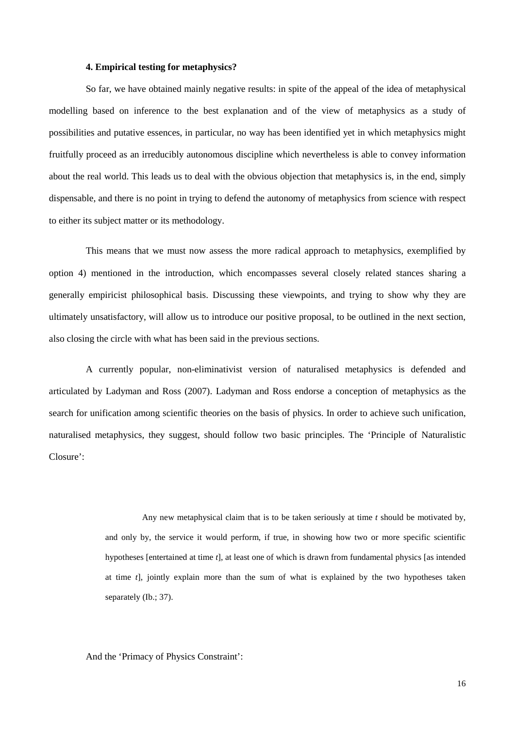# **4. Empirical testing for metaphysics?**

So far, we have obtained mainly negative results: in spite of the appeal of the idea of metaphysical modelling based on inference to the best explanation and of the view of metaphysics as a study of possibilities and putative essences, in particular, no way has been identified yet in which metaphysics might fruitfully proceed as an irreducibly autonomous discipline which nevertheless is able to convey information about the real world. This leads us to deal with the obvious objection that metaphysics is, in the end, simply dispensable, and there is no point in trying to defend the autonomy of metaphysics from science with respect to either its subject matter or its methodology.

This means that we must now assess the more radical approach to metaphysics, exemplified by option 4) mentioned in the introduction, which encompasses several closely related stances sharing a generally empiricist philosophical basis. Discussing these viewpoints, and trying to show why they are ultimately unsatisfactory, will allow us to introduce our positive proposal, to be outlined in the next section, also closing the circle with what has been said in the previous sections.

A currently popular, non-eliminativist version of naturalised metaphysics is defended and articulated by Ladyman and Ross (2007). Ladyman and Ross endorse a conception of metaphysics as the search for unification among scientific theories on the basis of physics. In order to achieve such unification, naturalised metaphysics, they suggest, should follow two basic principles. The 'Principle of Naturalistic Closure':

> Any new metaphysical claim that is to be taken seriously at time *t* should be motivated by, and only by, the service it would perform, if true, in showing how two or more specific scientific hypotheses [entertained at time *t*], at least one of which is drawn from fundamental physics [as intended at time *t*], jointly explain more than the sum of what is explained by the two hypotheses taken separately (Ib.; 37).

And the 'Primacy of Physics Constraint':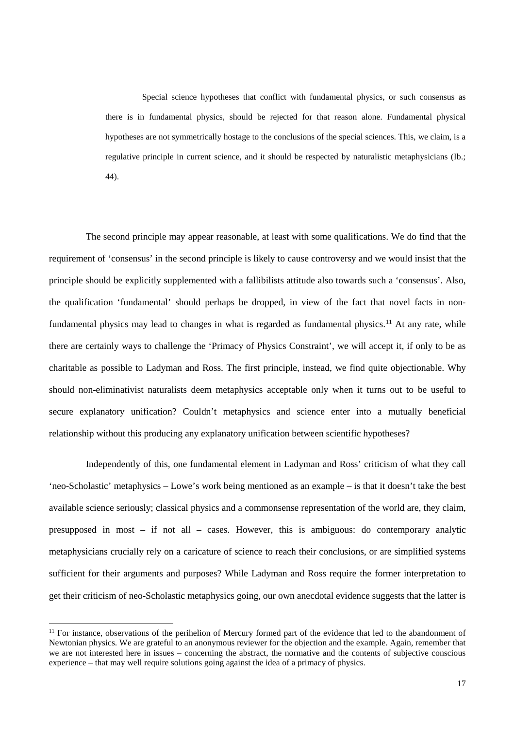Special science hypotheses that conflict with fundamental physics, or such consensus as there is in fundamental physics, should be rejected for that reason alone. Fundamental physical hypotheses are not symmetrically hostage to the conclusions of the special sciences. This, we claim, is a regulative principle in current science, and it should be respected by naturalistic metaphysicians (Ib.; 44).

The second principle may appear reasonable, at least with some qualifications. We do find that the requirement of 'consensus' in the second principle is likely to cause controversy and we would insist that the principle should be explicitly supplemented with a fallibilists attitude also towards such a 'consensus'. Also, the qualification 'fundamental' should perhaps be dropped, in view of the fact that novel facts in non-fundamental physics may lead to changes in what is regarded as fundamental physics.<sup>[11](#page-16-0)</sup> At any rate, while there are certainly ways to challenge the 'Primacy of Physics Constraint', we will accept it, if only to be as charitable as possible to Ladyman and Ross. The first principle, instead, we find quite objectionable. Why should non-eliminativist naturalists deem metaphysics acceptable only when it turns out to be useful to secure explanatory unification? Couldn't metaphysics and science enter into a mutually beneficial relationship without this producing any explanatory unification between scientific hypotheses?

Independently of this, one fundamental element in Ladyman and Ross' criticism of what they call 'neo-Scholastic' metaphysics – Lowe's work being mentioned as an example – is that it doesn't take the best available science seriously; classical physics and a commonsense representation of the world are, they claim, presupposed in most – if not all – cases. However, this is ambiguous: do contemporary analytic metaphysicians crucially rely on a caricature of science to reach their conclusions, or are simplified systems sufficient for their arguments and purposes? While Ladyman and Ross require the former interpretation to get their criticism of neo-Scholastic metaphysics going, our own anecdotal evidence suggests that the latter is

<span id="page-16-0"></span><sup>&</sup>lt;sup>11</sup> For instance, observations of the perihelion of Mercury formed part of the evidence that led to the abandonment of Newtonian physics. We are grateful to an anonymous reviewer for the objection and the example. Again, remember that we are not interested here in issues – concerning the abstract, the normative and the contents of subjective conscious experience – that may well require solutions going against the idea of a primacy of physics.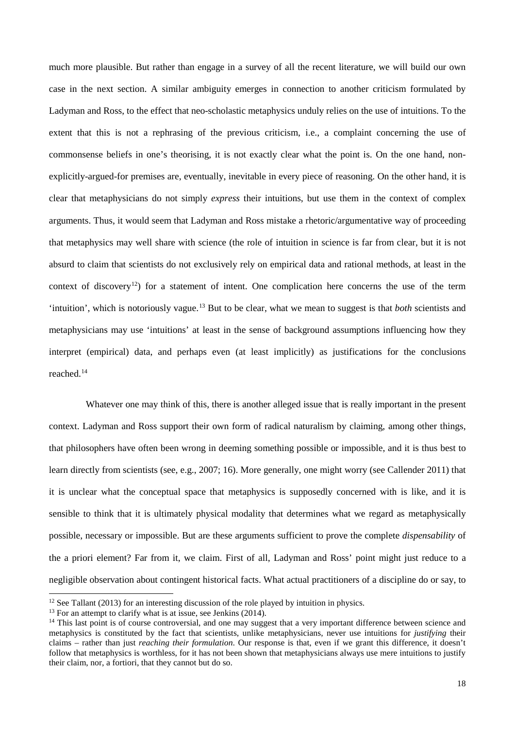much more plausible. But rather than engage in a survey of all the recent literature, we will build our own case in the next section. A similar ambiguity emerges in connection to another criticism formulated by Ladyman and Ross, to the effect that neo-scholastic metaphysics unduly relies on the use of intuitions. To the extent that this is not a rephrasing of the previous criticism, i.e., a complaint concerning the use of commonsense beliefs in one's theorising, it is not exactly clear what the point is. On the one hand, nonexplicitly-argued-for premises are, eventually, inevitable in every piece of reasoning. On the other hand, it is clear that metaphysicians do not simply *express* their intuitions, but use them in the context of complex arguments. Thus, it would seem that Ladyman and Ross mistake a rhetoric/argumentative way of proceeding that metaphysics may well share with science (the role of intuition in science is far from clear, but it is not absurd to claim that scientists do not exclusively rely on empirical data and rational methods, at least in the context of discovery<sup>[12](#page-17-0)</sup>) for a statement of intent. One complication here concerns the use of the term 'intuition', which is notoriously vague.[13](#page-17-1) But to be clear, what we mean to suggest is that *both* scientists and metaphysicians may use 'intuitions' at least in the sense of background assumptions influencing how they interpret (empirical) data, and perhaps even (at least implicitly) as justifications for the conclusions reached. [14](#page-17-2)

Whatever one may think of this, there is another alleged issue that is really important in the present context. Ladyman and Ross support their own form of radical naturalism by claiming, among other things, that philosophers have often been wrong in deeming something possible or impossible, and it is thus best to learn directly from scientists (see, e.g., 2007; 16). More generally, one might worry (see Callender 2011) that it is unclear what the conceptual space that metaphysics is supposedly concerned with is like, and it is sensible to think that it is ultimately physical modality that determines what we regard as metaphysically possible, necessary or impossible. But are these arguments sufficient to prove the complete *dispensability* of the a priori element? Far from it, we claim. First of all, Ladyman and Ross' point might just reduce to a negligible observation about contingent historical facts. What actual practitioners of a discipline do or say, to

<span id="page-17-0"></span> $12$  See Tallant (2013) for an interesting discussion of the role played by intuition in physics.

<span id="page-17-1"></span> $13$  For an attempt to clarify what is at issue, see Jenkins (2014).

<span id="page-17-2"></span><sup>&</sup>lt;sup>14</sup> This last point is of course controversial, and one may suggest that a very important difference between science and metaphysics is constituted by the fact that scientists, unlike metaphysicians, never use intuitions for *justifying* their claims – rather than just *reaching their formulation*. Our response is that, even if we grant this difference, it doesn't follow that metaphysics is worthless, for it has not been shown that metaphysicians always use mere intuitions to justify their claim, nor, a fortiori, that they cannot but do so.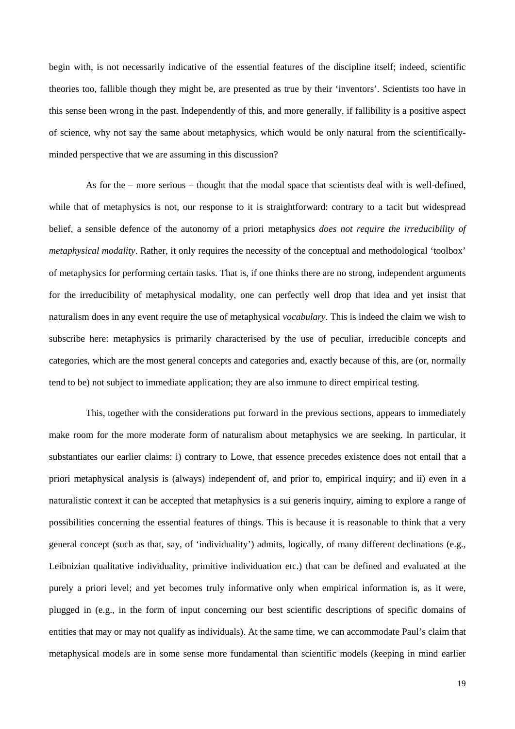begin with, is not necessarily indicative of the essential features of the discipline itself; indeed, scientific theories too, fallible though they might be, are presented as true by their 'inventors'. Scientists too have in this sense been wrong in the past. Independently of this, and more generally, if fallibility is a positive aspect of science, why not say the same about metaphysics, which would be only natural from the scientificallyminded perspective that we are assuming in this discussion?

As for the – more serious – thought that the modal space that scientists deal with is well-defined, while that of metaphysics is not, our response to it is straightforward: contrary to a tacit but widespread belief, a sensible defence of the autonomy of a priori metaphysics *does not require the irreducibility of metaphysical modality*. Rather, it only requires the necessity of the conceptual and methodological 'toolbox' of metaphysics for performing certain tasks. That is, if one thinks there are no strong, independent arguments for the irreducibility of metaphysical modality, one can perfectly well drop that idea and yet insist that naturalism does in any event require the use of metaphysical *vocabulary*. This is indeed the claim we wish to subscribe here: metaphysics is primarily characterised by the use of peculiar, irreducible concepts and categories, which are the most general concepts and categories and, exactly because of this, are (or, normally tend to be) not subject to immediate application; they are also immune to direct empirical testing.

This, together with the considerations put forward in the previous sections, appears to immediately make room for the more moderate form of naturalism about metaphysics we are seeking. In particular, it substantiates our earlier claims: i) contrary to Lowe, that essence precedes existence does not entail that a priori metaphysical analysis is (always) independent of, and prior to, empirical inquiry; and ii) even in a naturalistic context it can be accepted that metaphysics is a sui generis inquiry, aiming to explore a range of possibilities concerning the essential features of things. This is because it is reasonable to think that a very general concept (such as that, say, of 'individuality') admits, logically, of many different declinations (e.g., Leibnizian qualitative individuality, primitive individuation etc.) that can be defined and evaluated at the purely a priori level; and yet becomes truly informative only when empirical information is, as it were, plugged in (e.g., in the form of input concerning our best scientific descriptions of specific domains of entities that may or may not qualify as individuals). At the same time, we can accommodate Paul's claim that metaphysical models are in some sense more fundamental than scientific models (keeping in mind earlier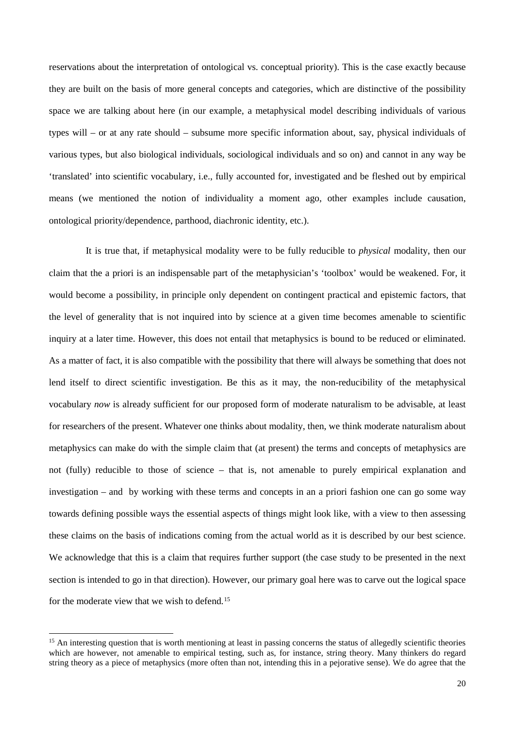reservations about the interpretation of ontological vs. conceptual priority). This is the case exactly because they are built on the basis of more general concepts and categories, which are distinctive of the possibility space we are talking about here (in our example, a metaphysical model describing individuals of various types will – or at any rate should – subsume more specific information about, say, physical individuals of various types, but also biological individuals, sociological individuals and so on) and cannot in any way be 'translated' into scientific vocabulary, i.e., fully accounted for, investigated and be fleshed out by empirical means (we mentioned the notion of individuality a moment ago, other examples include causation, ontological priority/dependence, parthood, diachronic identity, etc.).

It is true that, if metaphysical modality were to be fully reducible to *physical* modality, then our claim that the a priori is an indispensable part of the metaphysician's 'toolbox' would be weakened. For, it would become a possibility, in principle only dependent on contingent practical and epistemic factors, that the level of generality that is not inquired into by science at a given time becomes amenable to scientific inquiry at a later time. However, this does not entail that metaphysics is bound to be reduced or eliminated. As a matter of fact, it is also compatible with the possibility that there will always be something that does not lend itself to direct scientific investigation. Be this as it may, the non-reducibility of the metaphysical vocabulary *now* is already sufficient for our proposed form of moderate naturalism to be advisable, at least for researchers of the present. Whatever one thinks about modality, then, we think moderate naturalism about metaphysics can make do with the simple claim that (at present) the terms and concepts of metaphysics are not (fully) reducible to those of science – that is, not amenable to purely empirical explanation and investigation – and by working with these terms and concepts in an a priori fashion one can go some way towards defining possible ways the essential aspects of things might look like, with a view to then assessing these claims on the basis of indications coming from the actual world as it is described by our best science. We acknowledge that this is a claim that requires further support (the case study to be presented in the next section is intended to go in that direction). However, our primary goal here was to carve out the logical space for the moderate view that we wish to defend.[15](#page-19-0)

<span id="page-19-0"></span><sup>&</sup>lt;sup>15</sup> An interesting question that is worth mentioning at least in passing concerns the status of allegedly scientific theories which are however, not amenable to empirical testing, such as, for instance, string theory. Many thinkers do regard string theory as a piece of metaphysics (more often than not, intending this in a pejorative sense). We do agree that the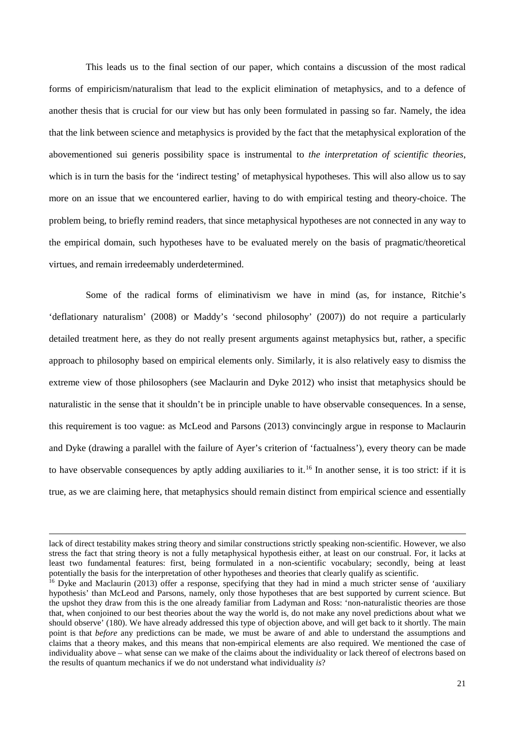This leads us to the final section of our paper, which contains a discussion of the most radical forms of empiricism/naturalism that lead to the explicit elimination of metaphysics, and to a defence of another thesis that is crucial for our view but has only been formulated in passing so far. Namely, the idea that the link between science and metaphysics is provided by the fact that the metaphysical exploration of the abovementioned sui generis possibility space is instrumental to *the interpretation of scientific theories*, which is in turn the basis for the 'indirect testing' of metaphysical hypotheses. This will also allow us to say more on an issue that we encountered earlier, having to do with empirical testing and theory-choice. The problem being, to briefly remind readers, that since metaphysical hypotheses are not connected in any way to the empirical domain, such hypotheses have to be evaluated merely on the basis of pragmatic/theoretical virtues, and remain irredeemably underdetermined.

Some of the radical forms of eliminativism we have in mind (as, for instance, Ritchie's 'deflationary naturalism' (2008) or Maddy's 'second philosophy' (2007)) do not require a particularly detailed treatment here, as they do not really present arguments against metaphysics but, rather, a specific approach to philosophy based on empirical elements only. Similarly, it is also relatively easy to dismiss the extreme view of those philosophers (see Maclaurin and Dyke 2012) who insist that metaphysics should be naturalistic in the sense that it shouldn't be in principle unable to have observable consequences. In a sense, this requirement is too vague: as McLeod and Parsons (2013) convincingly argue in response to Maclaurin and Dyke (drawing a parallel with the failure of Ayer's criterion of 'factualness'), every theory can be made to have observable consequences by aptly adding auxiliaries to it.<sup>[16](#page-20-0)</sup> In another sense, it is too strict: if it is true, as we are claiming here, that metaphysics should remain distinct from empirical science and essentially

<u>.</u>

lack of direct testability makes string theory and similar constructions strictly speaking non-scientific. However, we also stress the fact that string theory is not a fully metaphysical hypothesis either, at least on our construal. For, it lacks at least two fundamental features: first, being formulated in a non-scientific vocabulary; secondly, being at least potentially the basis for the interpretation of other hypotheses and theories that clearly qualify as scientific.

<span id="page-20-0"></span><sup>&</sup>lt;sup>16</sup> Dyke and Maclaurin (2013) offer a response, specifying that they had in mind a much stricter sense of 'auxiliary hypothesis' than McLeod and Parsons, namely, only those hypotheses that are best supported by current science. But the upshot they draw from this is the one already familiar from Ladyman and Ross: 'non-naturalistic theories are those that, when conjoined to our best theories about the way the world is, do not make any novel predictions about what we should observe' (180). We have already addressed this type of objection above, and will get back to it shortly. The main point is that *before* any predictions can be made, we must be aware of and able to understand the assumptions and claims that a theory makes, and this means that non-empirical elements are also required. We mentioned the case of individuality above – what sense can we make of the claims about the individuality or lack thereof of electrons based on the results of quantum mechanics if we do not understand what individuality *is*?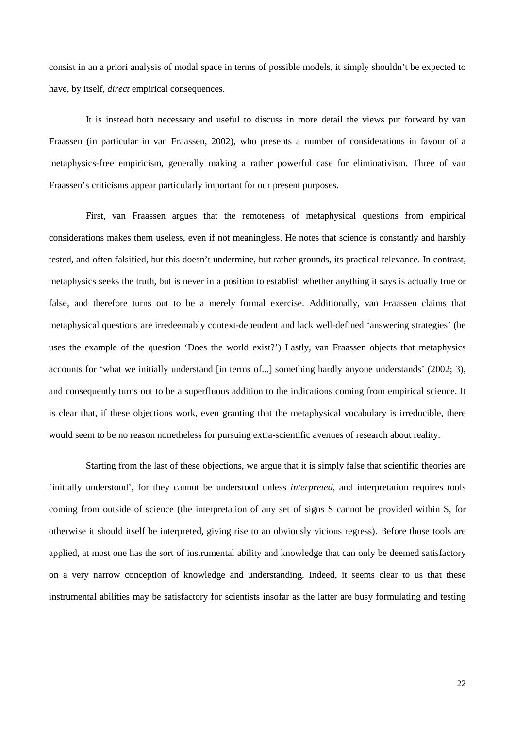consist in an a priori analysis of modal space in terms of possible models, it simply shouldn't be expected to have, by itself, *direct* empirical consequences.

It is instead both necessary and useful to discuss in more detail the views put forward by van Fraassen (in particular in van Fraassen, 2002), who presents a number of considerations in favour of a metaphysics-free empiricism, generally making a rather powerful case for eliminativism. Three of van Fraassen's criticisms appear particularly important for our present purposes.

First, van Fraassen argues that the remoteness of metaphysical questions from empirical considerations makes them useless, even if not meaningless. He notes that science is constantly and harshly tested, and often falsified, but this doesn't undermine, but rather grounds, its practical relevance. In contrast, metaphysics seeks the truth, but is never in a position to establish whether anything it says is actually true or false, and therefore turns out to be a merely formal exercise. Additionally, van Fraassen claims that metaphysical questions are irredeemably context-dependent and lack well-defined 'answering strategies' (he uses the example of the question 'Does the world exist?') Lastly, van Fraassen objects that metaphysics accounts for 'what we initially understand [in terms of...] something hardly anyone understands' (2002; 3), and consequently turns out to be a superfluous addition to the indications coming from empirical science. It is clear that, if these objections work, even granting that the metaphysical vocabulary is irreducible, there would seem to be no reason nonetheless for pursuing extra-scientific avenues of research about reality.

Starting from the last of these objections, we argue that it is simply false that scientific theories are 'initially understood', for they cannot be understood unless *interpreted*, and interpretation requires tools coming from outside of science (the interpretation of any set of signs S cannot be provided within S, for otherwise it should itself be interpreted, giving rise to an obviously vicious regress). Before those tools are applied, at most one has the sort of instrumental ability and knowledge that can only be deemed satisfactory on a very narrow conception of knowledge and understanding. Indeed, it seems clear to us that these instrumental abilities may be satisfactory for scientists insofar as the latter are busy formulating and testing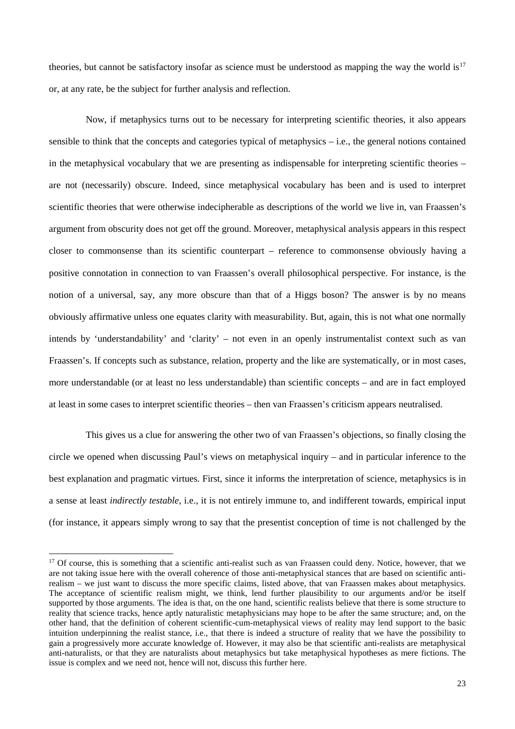theories, but cannot be satisfactory insofar as science must be understood as mapping the way the world is $17$ or, at any rate, be the subject for further analysis and reflection.

Now, if metaphysics turns out to be necessary for interpreting scientific theories, it also appears sensible to think that the concepts and categories typical of metaphysics – i.e., the general notions contained in the metaphysical vocabulary that we are presenting as indispensable for interpreting scientific theories – are not (necessarily) obscure. Indeed, since metaphysical vocabulary has been and is used to interpret scientific theories that were otherwise indecipherable as descriptions of the world we live in, van Fraassen's argument from obscurity does not get off the ground. Moreover, metaphysical analysis appears in this respect closer to commonsense than its scientific counterpart – reference to commonsense obviously having a positive connotation in connection to van Fraassen's overall philosophical perspective. For instance, is the notion of a universal, say, any more obscure than that of a Higgs boson? The answer is by no means obviously affirmative unless one equates clarity with measurability. But, again, this is not what one normally intends by 'understandability' and 'clarity' – not even in an openly instrumentalist context such as van Fraassen's. If concepts such as substance, relation, property and the like are systematically, or in most cases, more understandable (or at least no less understandable) than scientific concepts – and are in fact employed at least in some cases to interpret scientific theories – then van Fraassen's criticism appears neutralised.

This gives us a clue for answering the other two of van Fraassen's objections, so finally closing the circle we opened when discussing Paul's views on metaphysical inquiry – and in particular inference to the best explanation and pragmatic virtues. First, since it informs the interpretation of science, metaphysics is in a sense at least *indirectly testable*, i.e., it is not entirely immune to, and indifferent towards, empirical input (for instance, it appears simply wrong to say that the presentist conception of time is not challenged by the

<span id="page-22-0"></span><sup>&</sup>lt;sup>17</sup> Of course, this is something that a scientific anti-realist such as van Fraassen could deny. Notice, however, that we are not taking issue here with the overall coherence of those anti-metaphysical stances that are based on scientific antirealism – we just want to discuss the more specific claims, listed above, that van Fraassen makes about metaphysics. The acceptance of scientific realism might, we think, lend further plausibility to our arguments and/or be itself supported by those arguments. The idea is that, on the one hand, scientific realists believe that there is some structure to reality that science tracks, hence aptly naturalistic metaphysicians may hope to be after the same structure; and, on the other hand, that the definition of coherent scientific-cum-metaphysical views of reality may lend support to the basic intuition underpinning the realist stance, i.e., that there is indeed a structure of reality that we have the possibility to gain a progressively more accurate knowledge of. However, it may also be that scientific anti-realists are metaphysical anti-naturalists, or that they are naturalists about metaphysics but take metaphysical hypotheses as mere fictions. The issue is complex and we need not, hence will not, discuss this further here.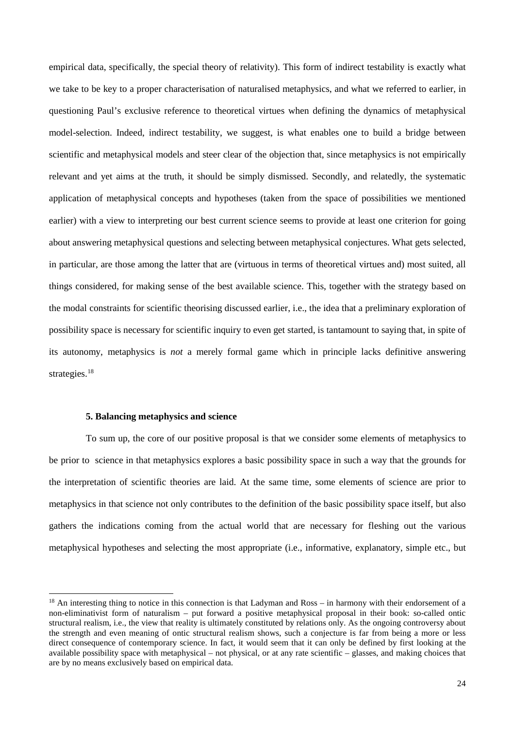empirical data, specifically, the special theory of relativity). This form of indirect testability is exactly what we take to be key to a proper characterisation of naturalised metaphysics, and what we referred to earlier, in questioning Paul's exclusive reference to theoretical virtues when defining the dynamics of metaphysical model-selection. Indeed, indirect testability, we suggest, is what enables one to build a bridge between scientific and metaphysical models and steer clear of the objection that, since metaphysics is not empirically relevant and yet aims at the truth, it should be simply dismissed. Secondly, and relatedly, the systematic application of metaphysical concepts and hypotheses (taken from the space of possibilities we mentioned earlier) with a view to interpreting our best current science seems to provide at least one criterion for going about answering metaphysical questions and selecting between metaphysical conjectures. What gets selected, in particular, are those among the latter that are (virtuous in terms of theoretical virtues and) most suited, all things considered, for making sense of the best available science. This, together with the strategy based on the modal constraints for scientific theorising discussed earlier, i.e., the idea that a preliminary exploration of possibility space is necessary for scientific inquiry to even get started, is tantamount to saying that, in spite of its autonomy, metaphysics is *not* a merely formal game which in principle lacks definitive answering strategies.<sup>18</sup>

### **5. Balancing metaphysics and science**

To sum up, the core of our positive proposal is that we consider some elements of metaphysics to be prior to science in that metaphysics explores a basic possibility space in such a way that the grounds for the interpretation of scientific theories are laid. At the same time, some elements of science are prior to metaphysics in that science not only contributes to the definition of the basic possibility space itself, but also gathers the indications coming from the actual world that are necessary for fleshing out the various metaphysical hypotheses and selecting the most appropriate (i.e., informative, explanatory, simple etc., but

<span id="page-23-0"></span><sup>&</sup>lt;sup>18</sup> An interesting thing to notice in this connection is that Ladyman and Ross – in harmony with their endorsement of a non-eliminativist form of naturalism – put forward a positive metaphysical proposal in their book: so-called ontic structural realism, i.e., the view that reality is ultimately constituted by relations only. As the ongoing controversy about the strength and even meaning of ontic structural realism shows, such a conjecture is far from being a more or less direct consequence of contemporary science. In fact, it would seem that it can only be defined by first looking at the available possibility space with metaphysical – not physical, or at any rate scientific – glasses, and making choices that are by no means exclusively based on empirical data.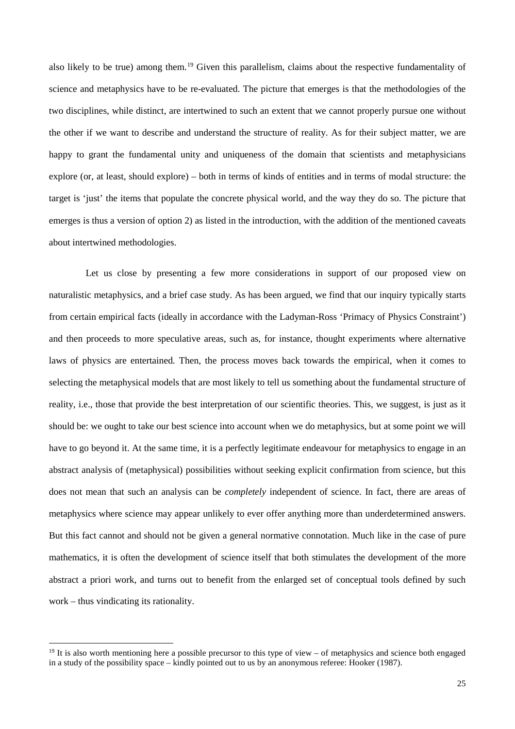also likely to be true) among them.<sup>[19](#page-24-0)</sup> Given this parallelism, claims about the respective fundamentality of science and metaphysics have to be re-evaluated. The picture that emerges is that the methodologies of the two disciplines, while distinct, are intertwined to such an extent that we cannot properly pursue one without the other if we want to describe and understand the structure of reality. As for their subject matter, we are happy to grant the fundamental unity and uniqueness of the domain that scientists and metaphysicians explore (or, at least, should explore) – both in terms of kinds of entities and in terms of modal structure: the target is 'just' the items that populate the concrete physical world, and the way they do so. The picture that emerges is thus a version of option 2) as listed in the introduction, with the addition of the mentioned caveats about intertwined methodologies.

Let us close by presenting a few more considerations in support of our proposed view on naturalistic metaphysics, and a brief case study. As has been argued, we find that our inquiry typically starts from certain empirical facts (ideally in accordance with the Ladyman-Ross 'Primacy of Physics Constraint') and then proceeds to more speculative areas, such as, for instance, thought experiments where alternative laws of physics are entertained. Then, the process moves back towards the empirical, when it comes to selecting the metaphysical models that are most likely to tell us something about the fundamental structure of reality, i.e., those that provide the best interpretation of our scientific theories. This, we suggest, is just as it should be: we ought to take our best science into account when we do metaphysics, but at some point we will have to go beyond it. At the same time, it is a perfectly legitimate endeavour for metaphysics to engage in an abstract analysis of (metaphysical) possibilities without seeking explicit confirmation from science, but this does not mean that such an analysis can be *completely* independent of science. In fact, there are areas of metaphysics where science may appear unlikely to ever offer anything more than underdetermined answers. But this fact cannot and should not be given a general normative connotation. Much like in the case of pure mathematics, it is often the development of science itself that both stimulates the development of the more abstract a priori work, and turns out to benefit from the enlarged set of conceptual tools defined by such work – thus vindicating its rationality.

<span id="page-24-0"></span><sup>&</sup>lt;sup>19</sup> It is also worth mentioning here a possible precursor to this type of view – of metaphysics and science both engaged in a study of the possibility space – kindly pointed out to us by an anonymous referee: Hooker (1987).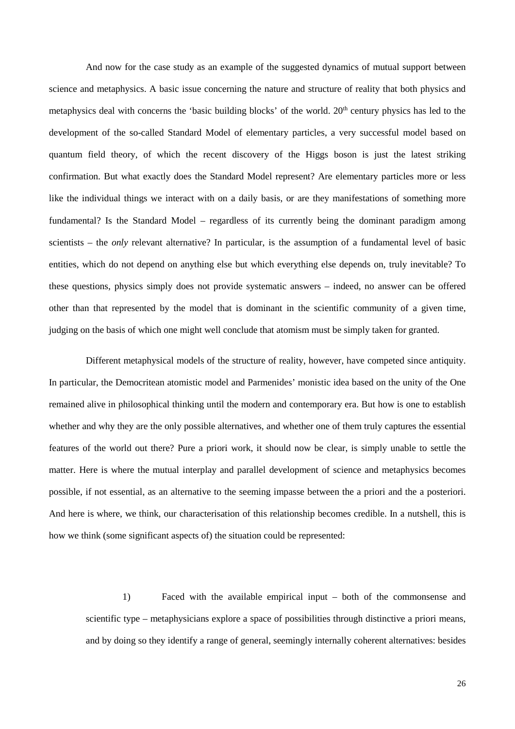And now for the case study as an example of the suggested dynamics of mutual support between science and metaphysics. A basic issue concerning the nature and structure of reality that both physics and metaphysics deal with concerns the 'basic building blocks' of the world. 20<sup>th</sup> century physics has led to the development of the so-called Standard Model of elementary particles, a very successful model based on quantum field theory, of which the recent discovery of the Higgs boson is just the latest striking confirmation. But what exactly does the Standard Model represent? Are elementary particles more or less like the individual things we interact with on a daily basis, or are they manifestations of something more fundamental? Is the Standard Model – regardless of its currently being the dominant paradigm among scientists – the *only* relevant alternative? In particular, is the assumption of a fundamental level of basic entities, which do not depend on anything else but which everything else depends on, truly inevitable? To these questions, physics simply does not provide systematic answers – indeed, no answer can be offered other than that represented by the model that is dominant in the scientific community of a given time, judging on the basis of which one might well conclude that atomism must be simply taken for granted.

Different metaphysical models of the structure of reality, however, have competed since antiquity. In particular, the Democritean atomistic model and Parmenides' monistic idea based on the unity of the One remained alive in philosophical thinking until the modern and contemporary era. But how is one to establish whether and why they are the only possible alternatives, and whether one of them truly captures the essential features of the world out there? Pure a priori work, it should now be clear, is simply unable to settle the matter. Here is where the mutual interplay and parallel development of science and metaphysics becomes possible, if not essential, as an alternative to the seeming impasse between the a priori and the a posteriori. And here is where, we think, our characterisation of this relationship becomes credible. In a nutshell, this is how we think (some significant aspects of) the situation could be represented:

1) Faced with the available empirical input – both of the commonsense and scientific type – metaphysicians explore a space of possibilities through distinctive a priori means, and by doing so they identify a range of general, seemingly internally coherent alternatives: besides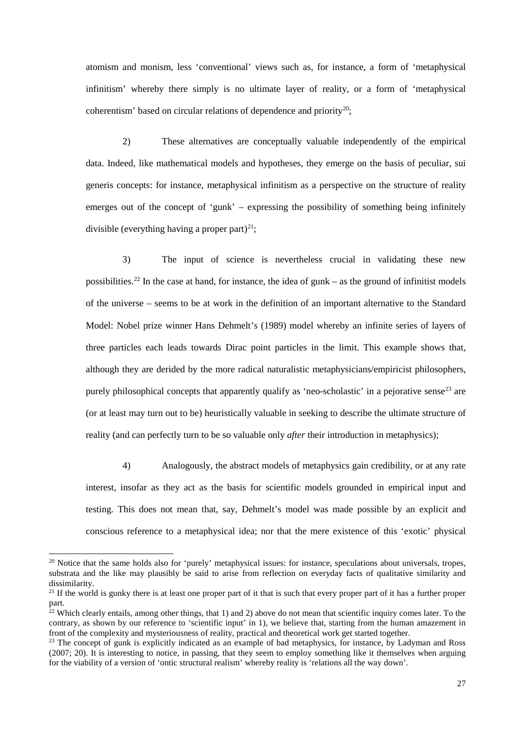atomism and monism, less 'conventional' views such as, for instance, a form of 'metaphysical infinitism' whereby there simply is no ultimate layer of reality, or a form of 'metaphysical coherentism' based on circular relations of dependence and priority<sup>20</sup>;

2) These alternatives are conceptually valuable independently of the empirical data. Indeed, like mathematical models and hypotheses, they emerge on the basis of peculiar, sui generis concepts: for instance, metaphysical infinitism as a perspective on the structure of reality emerges out of the concept of 'gunk' – expressing the possibility of something being infinitely divisible (everything having a proper part)<sup>21</sup>;

3) The input of science is nevertheless crucial in validating these new possibilities.<sup>[22](#page-26-2)</sup> In the case at hand, for instance, the idea of gunk – as the ground of infinitist models of the universe – seems to be at work in the definition of an important alternative to the Standard Model: Nobel prize winner Hans Dehmelt's (1989) model whereby an infinite series of layers of three particles each leads towards Dirac point particles in the limit. This example shows that, although they are derided by the more radical naturalistic metaphysicians/empiricist philosophers, purely philosophical concepts that apparently qualify as 'neo-scholastic' in a pejorative sense<sup>[23](#page-26-3)</sup> are (or at least may turn out to be) heuristically valuable in seeking to describe the ultimate structure of reality (and can perfectly turn to be so valuable only *after* their introduction in metaphysics);

4) Analogously, the abstract models of metaphysics gain credibility, or at any rate interest, insofar as they act as the basis for scientific models grounded in empirical input and testing. This does not mean that, say, Dehmelt's model was made possible by an explicit and conscious reference to a metaphysical idea; nor that the mere existence of this 'exotic' physical

<span id="page-26-0"></span><sup>&</sup>lt;sup>20</sup> Notice that the same holds also for 'purely' metaphysical issues: for instance, speculations about universals, tropes, substrata and the like may plausibly be said to arise from reflection on everyday facts of qualitative similarity and dissimilarity.

<span id="page-26-1"></span> $^{21}$  If the world is gunky there is at least one proper part of it that is such that every proper part of it has a further proper part.

<span id="page-26-2"></span> $^{22}$  Which clearly entails, among other things, that 1) and 2) above do not mean that scientific inquiry comes later. To the contrary, as shown by our reference to 'scientific input' in 1), we believe that, starting from the human amazement in front of the complexity and mysteriousness of reality, practical and theoretical work get started together.

<span id="page-26-3"></span><sup>&</sup>lt;sup>23</sup> The concept of gunk is explicitly indicated as an example of bad metaphysics, for instance, by Ladyman and Ross (2007; 20). It is interesting to notice, in passing, that they seem to employ something like it themselves when arguing for the viability of a version of 'ontic structural realism' whereby reality is 'relations all the way down'.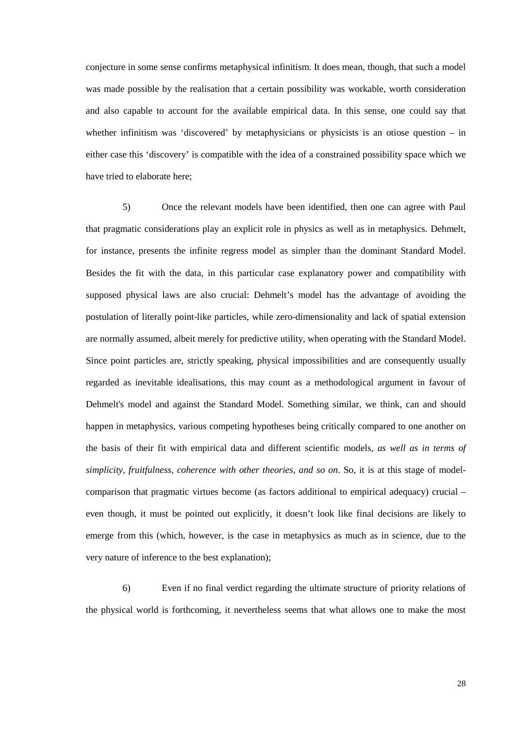conjecture in some sense confirms metaphysical infinitism. It does mean, though, that such a model was made possible by the realisation that a certain possibility was workable, worth consideration and also capable to account for the available empirical data. In this sense, one could say that whether infinitism was 'discovered' by metaphysicians or physicists is an otiose question – in either case this 'discovery' is compatible with the idea of a constrained possibility space which we have tried to elaborate here;

5) Once the relevant models have been identified, then one can agree with Paul that pragmatic considerations play an explicit role in physics as well as in metaphysics. Dehmelt, for instance, presents the infinite regress model as simpler than the dominant Standard Model. Besides the fit with the data, in this particular case explanatory power and compatibility with supposed physical laws are also crucial: Dehmelt's model has the advantage of avoiding the postulation of literally point-like particles, while zero-dimensionality and lack of spatial extension are normally assumed, albeit merely for predictive utility, when operating with the Standard Model. Since point particles are, strictly speaking, physical impossibilities and are consequently usually regarded as inevitable idealisations, this may count as a methodological argument in favour of Dehmelt's model and against the Standard Model. Something similar, we think, can and should happen in metaphysics, various competing hypotheses being critically compared to one another on the basis of their fit with empirical data and different scientific models, *as well as in terms of simplicity, fruitfulness, coherence with other theories, and so on*. So, it is at this stage of modelcomparison that pragmatic virtues become (as factors additional to empirical adequacy) crucial – even though, it must be pointed out explicitly, it doesn't look like final decisions are likely to emerge from this (which, however, is the case in metaphysics as much as in science, due to the very nature of inference to the best explanation);

6) Even if no final verdict regarding the ultimate structure of priority relations of the physical world is forthcoming, it nevertheless seems that what allows one to make the most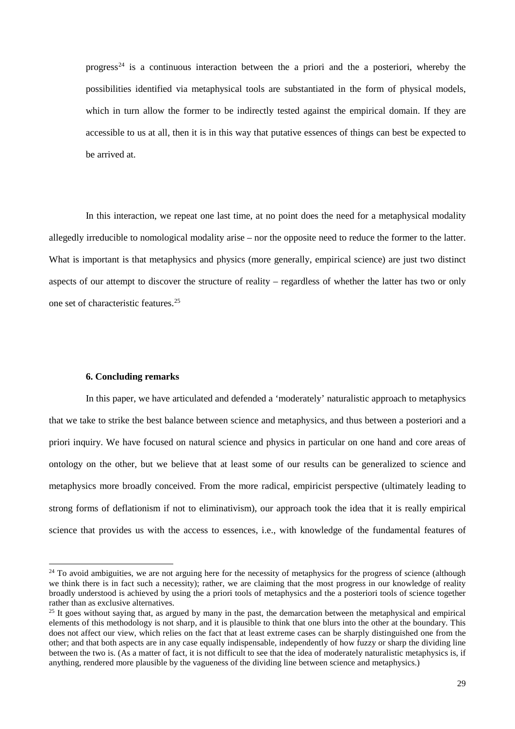progress<sup>[24](#page-28-0)</sup> is a continuous interaction between the a priori and the a posteriori, whereby the possibilities identified via metaphysical tools are substantiated in the form of physical models, which in turn allow the former to be indirectly tested against the empirical domain. If they are accessible to us at all, then it is in this way that putative essences of things can best be expected to be arrived at.

In this interaction, we repeat one last time, at no point does the need for a metaphysical modality allegedly irreducible to nomological modality arise – nor the opposite need to reduce the former to the latter. What is important is that metaphysics and physics (more generally, empirical science) are just two distinct aspects of our attempt to discover the structure of reality – regardless of whether the latter has two or only one set of characteristic features. [25](#page-28-1)

#### **6. Concluding remarks**

In this paper, we have articulated and defended a 'moderately' naturalistic approach to metaphysics that we take to strike the best balance between science and metaphysics, and thus between a posteriori and a priori inquiry. We have focused on natural science and physics in particular on one hand and core areas of ontology on the other, but we believe that at least some of our results can be generalized to science and metaphysics more broadly conceived. From the more radical, empiricist perspective (ultimately leading to strong forms of deflationism if not to eliminativism), our approach took the idea that it is really empirical science that provides us with the access to essences, i.e., with knowledge of the fundamental features of

<span id="page-28-0"></span> $24$  To avoid ambiguities, we are not arguing here for the necessity of metaphysics for the progress of science (although we think there is in fact such a necessity); rather, we are claiming that the most progress in our knowledge of reality broadly understood is achieved by using the a priori tools of metaphysics and the a posteriori tools of science together rather than as exclusive alternatives.

<span id="page-28-1"></span> $25$  It goes without saying that, as argued by many in the past, the demarcation between the metaphysical and empirical elements of this methodology is not sharp, and it is plausible to think that one blurs into the other at the boundary. This does not affect our view, which relies on the fact that at least extreme cases can be sharply distinguished one from the other; and that both aspects are in any case equally indispensable, independently of how fuzzy or sharp the dividing line between the two is. (As a matter of fact, it is not difficult to see that the idea of moderately naturalistic metaphysics is, if anything, rendered more plausible by the vagueness of the dividing line between science and metaphysics.)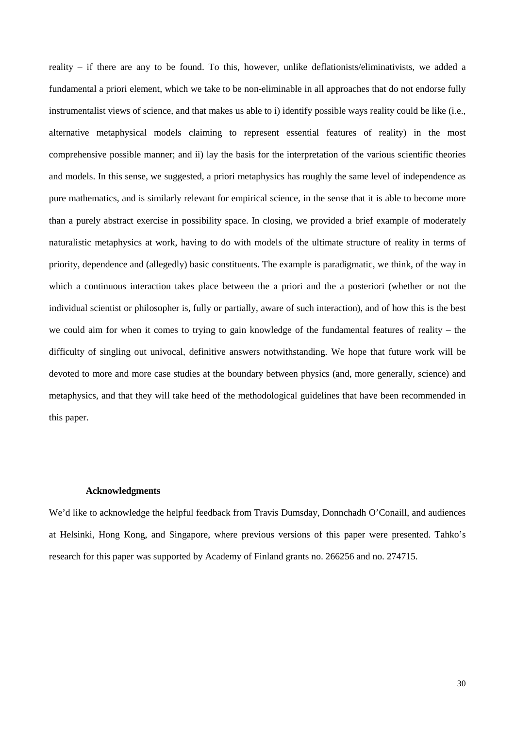reality – if there are any to be found. To this, however, unlike deflationists/eliminativists, we added a fundamental a priori element, which we take to be non-eliminable in all approaches that do not endorse fully instrumentalist views of science, and that makes us able to i) identify possible ways reality could be like (i.e., alternative metaphysical models claiming to represent essential features of reality) in the most comprehensive possible manner; and ii) lay the basis for the interpretation of the various scientific theories and models. In this sense, we suggested, a priori metaphysics has roughly the same level of independence as pure mathematics, and is similarly relevant for empirical science, in the sense that it is able to become more than a purely abstract exercise in possibility space. In closing, we provided a brief example of moderately naturalistic metaphysics at work, having to do with models of the ultimate structure of reality in terms of priority, dependence and (allegedly) basic constituents. The example is paradigmatic, we think, of the way in which a continuous interaction takes place between the a priori and the a posteriori (whether or not the individual scientist or philosopher is, fully or partially, aware of such interaction), and of how this is the best we could aim for when it comes to trying to gain knowledge of the fundamental features of reality – the difficulty of singling out univocal, definitive answers notwithstanding. We hope that future work will be devoted to more and more case studies at the boundary between physics (and, more generally, science) and metaphysics, and that they will take heed of the methodological guidelines that have been recommended in this paper.

## **Acknowledgments**

We'd like to acknowledge the helpful feedback from Travis Dumsday, Donnchadh O'Conaill, and audiences at Helsinki, Hong Kong, and Singapore, where previous versions of this paper were presented. Tahko's research for this paper was supported by Academy of Finland grants no. 266256 and no. 274715.